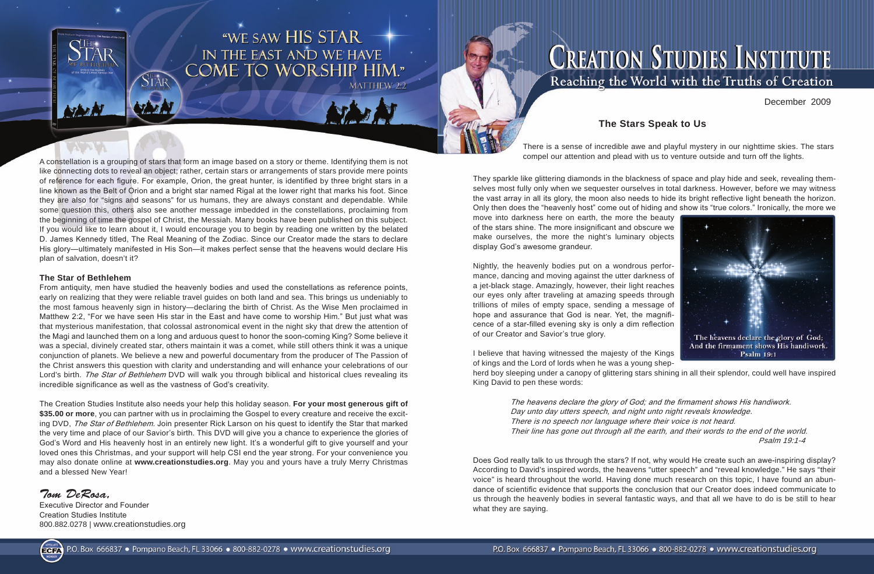

# WE SAW HIS STAR<br>IN THE EAST AND WE HAVE<br>COME TO WORSHIP HIM."



There is a sense of incredible awe and playful mystery in our nighttime skies. The stars



A constellation is a grouping of stars that form an image based on a story or theme. Identifying them is not compel our attention and plead with us to venture outside and turn off the lights. like connecting dots to reveal an object; rather, certain stars or arrangements of stars provide mere points of reference for each figure. For example, Orion, the great hunter, is identified by three bright stars in a line known as the Belt of Orion and a bright star named Rigal at the lower right that marks his foot. Since they are also for "signs and seasons" for us humans, they are always constant and dependable. While some question this, others also see another message imbedded in the constellations, proclaiming from the beginning of time the gospel of Christ, the Messiah. Many books have been published on this subject. If you would like to learn about it, I would encourage you to begin by reading one written by the belated D. James Kennedy titled, The Real Meaning of the Zodiac. Since our Creator made the stars to declare His glory—ultimately manifested in His Son—it makes perfect sense that the heavens would declare His plan of salvation, doesn't it?

### **The Star of Bethlehem**

From antiquity, men have studied the heavenly bodies and used the constellations as reference points, early on realizing that they were reliable travel guides on both land and sea. This brings us undeniably to the most famous heavenly sign in history—declaring the birth of Christ. As the Wise Men proclaimed in Matthew 2:2, "For we have seen His star in the East and have come to worship Him." But just what was that mysterious manifestation, that colossal astronomical event in the night sky that drew the attention of the Magi and launched them on a long and arduous quest to honor the soon-coming King? Some believe it was a special, divinely created star, others maintain it was a comet, while still others think it was a unique conjunction of planets. We believe a new and powerful documentary from the producer of The Passion of the Christ answers this question with clarity and understanding and will enhance your celebrations of our Lord's birth. The Star of Bethlehem DVD will walk you through biblical and historical clues revealing its incredible significance as well as the vastness of God's creativity.

The Creation Studies Institute also needs your help this holiday season. **For your most generous gift of \$35.00 or more**, you can partner with us in proclaiming the Gospel to every creature and receive the exciting DVD, The Star of Bethlehem. Join presenter Rick Larson on his quest to identify the Star that marked the very time and place of our Savior's birth. This DVD will give you a chance to experience the glories of God's Word and His heavenly host in an entirely new light. It's a wonderful gift to give yourself and your loved ones this Christmas, and your support will help CSI end the year strong. For your convenience you may also donate online at **www.creationstudies.org**. May you and yours have a truly Merry Christmas and a blessed New Year!

*Tom DeRosa,*

Executive Director and Founder Creation Studies Institute 800.882.0278 | www.creationstudies.org

They sparkle like glittering diamonds in the blackness of space and play hide and seek, revealing themselves most fully only when we sequester ourselves in total darkness. However, before we may witness the vast array in all its glory, the moon also needs to hide its bright reflective light beneath the horizon. Only then does the "heavenly host" come out of hiding and show its "true colors." Ironically, the more we move into darkness here on earth, the more the beauty of the stars shine. The more insignificant and obscure we make ourselves, the more the night's luminary objects display God's awesome grandeur.

Nightly, the heavenly bodies put on a wondrous performance, dancing and moving against the utter darkness of a jet-black stage. Amazingly, however, their light reaches our eyes only after traveling at amazing speeds through trillions of miles of empty space, sending a message of hope and assurance that God is near. Yet, the magnificence of a star-filled evening sky is only a dim reflection of our Creator and Savior's true glory.

I believe that having witnessed the majesty of the Kings **Psalm 19:1** of kings and the Lord of lords when he was a young shepherd boy sleeping under a canopy of glittering stars shining in all their splendor, could well have inspired King David to pen these words:

> The heavens declare the glory of God; and the firmament shows His handiwork. Day unto day utters speech, and night unto night reveals knowledge. There is no speech nor language where their voice is not heard. Their line has gone out through all the earth, and their words to the end of the world. Psalm 19:1-4

Does God really talk to us through the stars? If not, why would He create such an awe-inspiring display? According to David's inspired words, the heavens "utter speech" and "reveal knowledge." He says "their voice" is heard throughout the world. Having done much research on this topic, I have found an abundance of scientific evidence that supports the conclusion that our Creator does indeed communicate to us through the heavenly bodies in several fantastic ways, and that all we have to do is be still to hear what they are saying.

December 2009

# **The Stars Speak to Us**